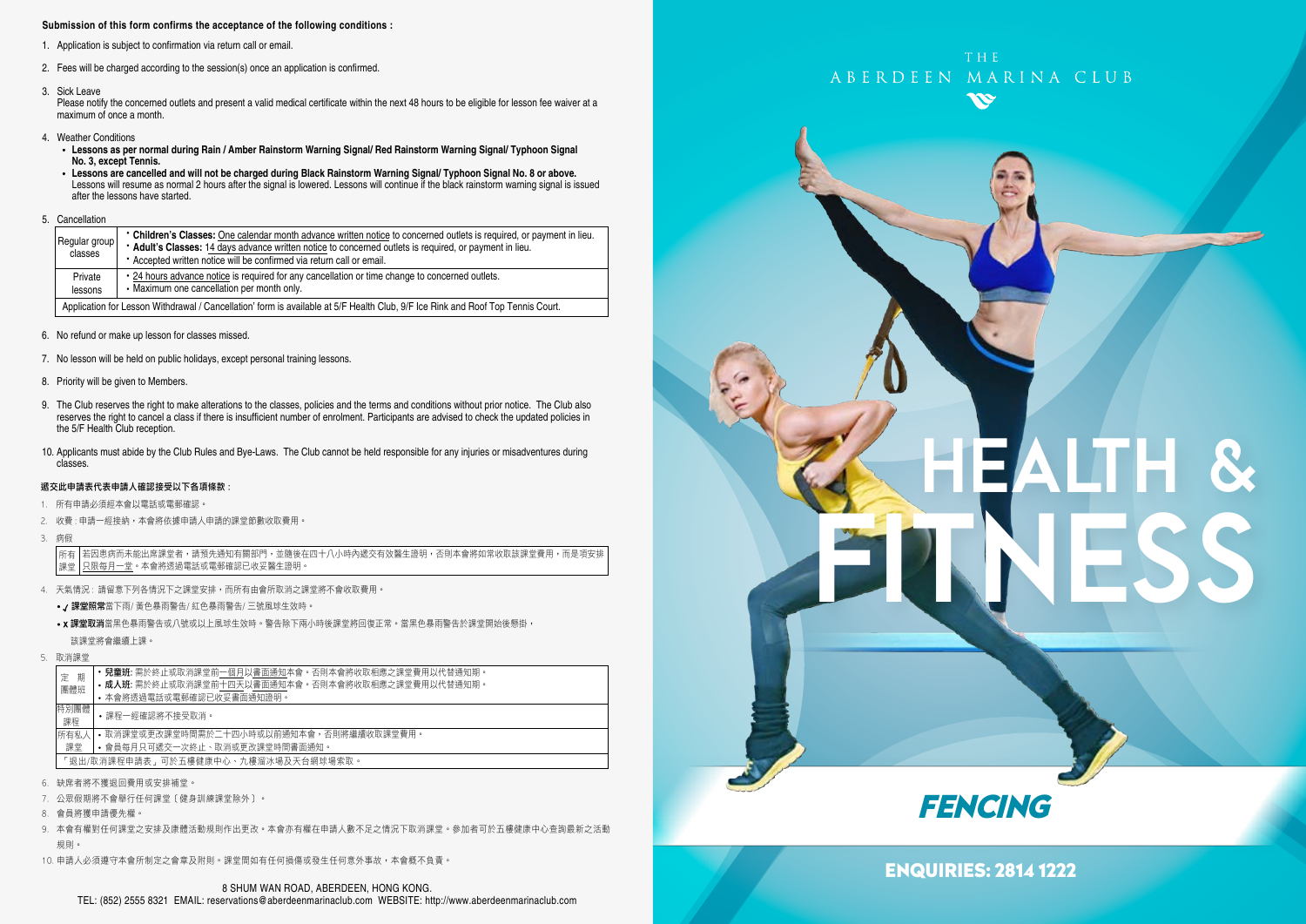#### **Submission of this form confirms the acceptance of the following conditions :**

- 1. Application is subject to confirmation via return call or email.
- 2. Fees will be charged according to the session(s) once an application is confirmed.
- 3. Sick Leave

Please notify the concerned outlets and present a valid medical certificate within the next 48 hours to be eligible for lesson fee waiver at a maximum of once a month.

- 4. Weather Conditions
	- **Lessons as per normal during Rain / Amber Rainstorm Warning Signal/ Red Rainstorm Warning Signal/ Typhoon Signal No. 3, except Tennis.**
	- **Lessons are cancelled and will not be charged during Black Rainstorm Warning Signal/ Typhoon Signal No. 8 or above.** Lessons will resume as normal 2 hours after the signal is lowered. Lessons will continue if the black rainstorm warning signal is issued after the lessons have started.
- 5. Cancellation

| Regular group<br>classes                                                                                                        | • Children's Classes: One calendar month advance written notice to concerned outlets is required, or payment in lieu.<br>* Adult's Classes: 14 days advance written notice to concerned outlets is required, or payment in lieu.<br>* Accepted written notice will be confirmed via return call or email. |  |  |  |  |
|---------------------------------------------------------------------------------------------------------------------------------|-----------------------------------------------------------------------------------------------------------------------------------------------------------------------------------------------------------------------------------------------------------------------------------------------------------|--|--|--|--|
| Private<br>lessons                                                                                                              | • 24 hours advance notice is required for any cancellation or time change to concerned outlets.<br>• Maximum one cancellation per month only.                                                                                                                                                             |  |  |  |  |
| Application for Lesson Withdrawal / Cancellation' form is available at 5/F Health Club, 9/F Ice Rink and Roof Top Tennis Court. |                                                                                                                                                                                                                                                                                                           |  |  |  |  |

- 6. No refund or make up lesson for classes missed.
- 7. No lesson will be held on public holidays, except personal training lessons.
- 8. Priority will be given to Members.
- 9. The Club reserves the right to make alterations to the classes, policies and the terms and conditions without prior notice. The Club also reserves the right to cancel a class if there is insufficient number of enrolment. Participants are advised to check the updated policies in the 5/F Health Club reception.
- 10. Applicants must abide by the Club Rules and Bye-Laws. The Club cannot be held responsible for any injuries or misadventures during classes.

#### 遞交此申請表代表申請人確認接受以下各項條款 :

- 1. 所有申請必須經本會以電話或電郵確認。
- 2. 收費 : 申請一經接納,本會將依據申請人申請的課堂節數收取費用。
- 3. 病假

若因患病而未能出席課堂者,請預先通知有關部門,並隨後在四十八小時內遞交有效醫生證明,否則本會將如常收取該課堂費用,而是項安排 只限每月一堂。本會將透過電話或電郵確認已收妥醫生證明。 所有 課堂

- 4. 天氣情況 : 請留意下列各情況下之課堂安排,而所有由會所取消之課堂將不會收取費用。
	- / 課堂照常當下雨/ 黃色暴雨警告/ 紅色暴雨警告/ 三號風球生效時。
	- x 課堂取消當黑色暴雨警告或八號或以上風球生效時。警告除下兩小時後課堂將回復正常。當黑色暴雨警告於課堂開始後懸掛, 該課堂將會繼續上課。
- 5. 取消課堂

| 期<br>定<br>團體班                       | <b>兒童班:</b> 需於終止或取消課堂前一個月以書面通知本會。否則本會將收取相應之課堂費用以代替通知期。<br>• 成人班: 需於終止或取消課堂前十四天以書面通知本會。否則本會將收取相應之課堂費用以代替通知期。<br>• 本會將透過電話或電郵確認已收妥書面通知證明。 |  |  |  |  |
|-------------------------------------|-----------------------------------------------------------------------------------------------------------------------------------------|--|--|--|--|
| 特別團體<br>課程                          | •課程一經確認將不接受取消。                                                                                                                          |  |  |  |  |
| 所有私人<br>課堂                          | • 取消課堂或更改課堂時間需於二十四小時或以前通知本會,否則將繼續收取課堂費用。<br>• 會員每月只可遞交一次終止、取消或更改課堂時間書面通知。                                                               |  |  |  |  |
| 「狠出/取消課程申請表,可於五樓健康中心、九樓溜冰場及天台網球場索取。 |                                                                                                                                         |  |  |  |  |

- 6. 缺席者將不獲退回費用或安排補堂。
- 7. 公眾假期將不會舉行任何課堂﹝健身訓練課堂除外﹞。
- 8. 會員將獲申請優先權。
- 9. 本會有權對任何課堂之安排及康體活動規則作出更改。本會亦有權在申請人數不足之情況下取消課堂。參加者可於五樓健康中心查詢最新之活動 規則。
- 10. 申請人必須遵守本會所制定之會章及附則。課堂間如有任何損傷或發生任何意外事故,本會概不負責。



# HEALTH & FITNESS



#### ENQUIRIES: 2814 1222